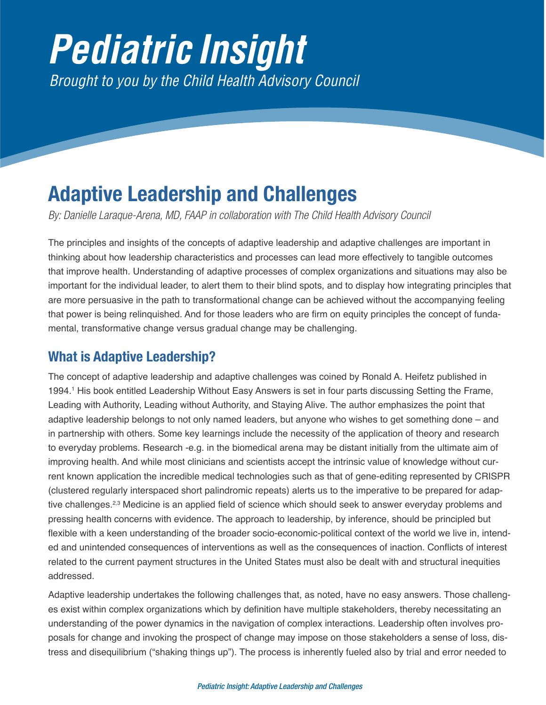# *Pediatric Insight Brought to you by the Child Health Advisory Council*

# **Adaptive Leadership and Challenges**

*By: Danielle Laraque-Arena, MD, FAAP in collaboration with The Child Health Advisory Council*

The principles and insights of the concepts of adaptive leadership and adaptive challenges are important in thinking about how leadership characteristics and processes can lead more effectively to tangible outcomes that improve health. Understanding of adaptive processes of complex organizations and situations may also be important for the individual leader, to alert them to their blind spots, and to display how integrating principles that are more persuasive in the path to transformational change can be achieved without the accompanying feeling that power is being relinquished. And for those leaders who are firm on equity principles the concept of fundamental, transformative change versus gradual change may be challenging.

## **What is Adaptive Leadership?**

The concept of adaptive leadership and adaptive challenges was coined by Ronald A. Heifetz published in 1994.<sup>1</sup> His book entitled Leadership Without Easy Answers is set in four parts discussing Setting the Frame, Leading with Authority, Leading without Authority, and Staying Alive. The author emphasizes the point that adaptive leadership belongs to not only named leaders, but anyone who wishes to get something done – and in partnership with others. Some key learnings include the necessity of the application of theory and research to everyday problems. Research -e.g. in the biomedical arena may be distant initially from the ultimate aim of improving health. And while most clinicians and scientists accept the intrinsic value of knowledge without current known application the incredible medical technologies such as that of gene-editing represented by CRISPR (clustered regularly interspaced short palindromic repeats) alerts us to the imperative to be prepared for adaptive challenges.<sup>2,3</sup> Medicine is an applied field of science which should seek to answer everyday problems and pressing health concerns with evidence. The approach to leadership, by inference, should be principled but flexible with a keen understanding of the broader socio-economic-political context of the world we live in, intended and unintended consequences of interventions as well as the consequences of inaction. Conflicts of interest related to the current payment structures in the United States must also be dealt with and structural inequities addressed.

Adaptive leadership undertakes the following challenges that, as noted, have no easy answers. Those challenges exist within complex organizations which by definition have multiple stakeholders, thereby necessitating an understanding of the power dynamics in the navigation of complex interactions. Leadership often involves proposals for change and invoking the prospect of change may impose on those stakeholders a sense of loss, distress and disequilibrium ("shaking things up"). The process is inherently fueled also by trial and error needed to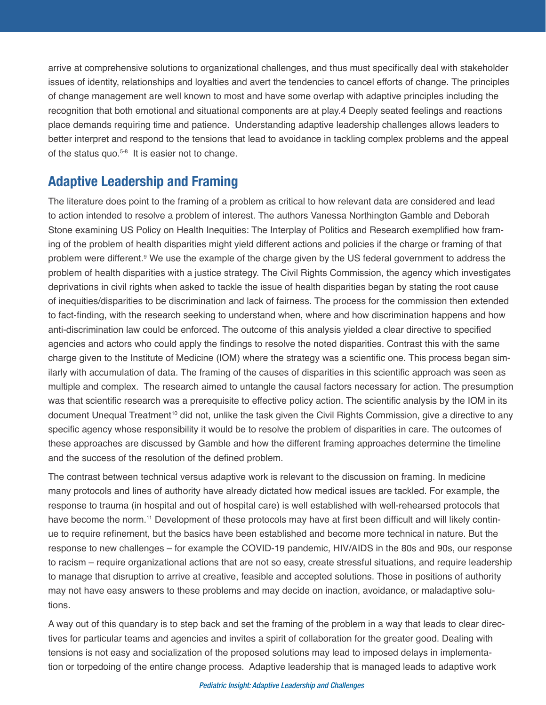arrive at comprehensive solutions to organizational challenges, and thus must specifically deal with stakeholder issues of identity, relationships and loyalties and avert the tendencies to cancel efforts of change. The principles of change management are well known to most and have some overlap with adaptive principles including the recognition that both emotional and situational components are at play.4 Deeply seated feelings and reactions place demands requiring time and patience. Understanding adaptive leadership challenges allows leaders to better interpret and respond to the tensions that lead to avoidance in tackling complex problems and the appeal of the status quo.<sup>5-8</sup> It is easier not to change.

#### **Adaptive Leadership and Framing**

The literature does point to the framing of a problem as critical to how relevant data are considered and lead to action intended to resolve a problem of interest. The authors Vanessa Northington Gamble and Deborah Stone examining US Policy on Health Inequities: The Interplay of Politics and Research exemplified how framing of the problem of health disparities might yield different actions and policies if the charge or framing of that problem were different.<sup>9</sup> We use the example of the charge given by the US federal government to address the problem of health disparities with a justice strategy. The Civil Rights Commission, the agency which investigates deprivations in civil rights when asked to tackle the issue of health disparities began by stating the root cause of inequities/disparities to be discrimination and lack of fairness. The process for the commission then extended to fact-finding, with the research seeking to understand when, where and how discrimination happens and how anti-discrimination law could be enforced. The outcome of this analysis yielded a clear directive to specified agencies and actors who could apply the findings to resolve the noted disparities. Contrast this with the same charge given to the Institute of Medicine (IOM) where the strategy was a scientific one. This process began similarly with accumulation of data. The framing of the causes of disparities in this scientific approach was seen as multiple and complex. The research aimed to untangle the causal factors necessary for action. The presumption was that scientific research was a prerequisite to effective policy action. The scientific analysis by the IOM in its document Unequal Treatment<sup>10</sup> did not, unlike the task given the Civil Rights Commission, give a directive to any specific agency whose responsibility it would be to resolve the problem of disparities in care. The outcomes of these approaches are discussed by Gamble and how the different framing approaches determine the timeline and the success of the resolution of the defined problem.

The contrast between technical versus adaptive work is relevant to the discussion on framing. In medicine many protocols and lines of authority have already dictated how medical issues are tackled. For example, the response to trauma (in hospital and out of hospital care) is well established with well-rehearsed protocols that have become the norm.<sup>11</sup> Development of these protocols may have at first been difficult and will likely continue to require refinement, but the basics have been established and become more technical in nature. But the response to new challenges – for example the COVID-19 pandemic, HIV/AIDS in the 80s and 90s, our response to racism – require organizational actions that are not so easy, create stressful situations, and require leadership to manage that disruption to arrive at creative, feasible and accepted solutions. Those in positions of authority may not have easy answers to these problems and may decide on inaction, avoidance, or maladaptive solutions.

A way out of this quandary is to step back and set the framing of the problem in a way that leads to clear directives for particular teams and agencies and invites a spirit of collaboration for the greater good. Dealing with tensions is not easy and socialization of the proposed solutions may lead to imposed delays in implementation or torpedoing of the entire change process. Adaptive leadership that is managed leads to adaptive work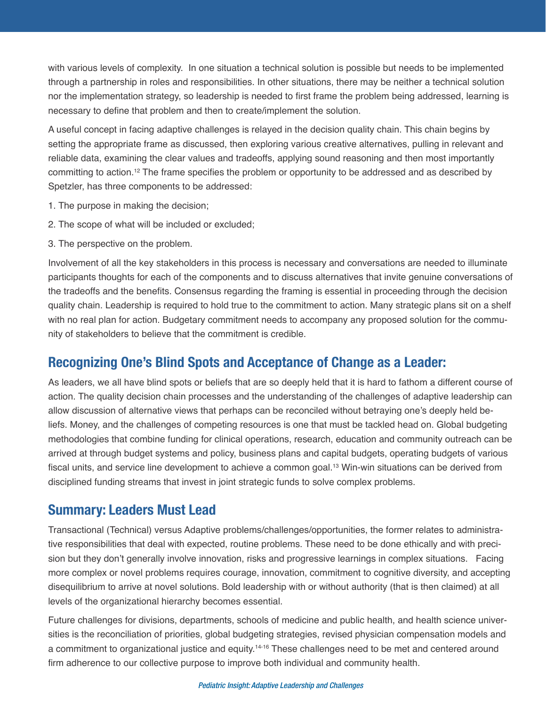with various levels of complexity. In one situation a technical solution is possible but needs to be implemented through a partnership in roles and responsibilities. In other situations, there may be neither a technical solution nor the implementation strategy, so leadership is needed to first frame the problem being addressed, learning is necessary to define that problem and then to create/implement the solution.

A useful concept in facing adaptive challenges is relayed in the decision quality chain. This chain begins by setting the appropriate frame as discussed, then exploring various creative alternatives, pulling in relevant and reliable data, examining the clear values and tradeoffs, applying sound reasoning and then most importantly committing to action.12 The frame specifies the problem or opportunity to be addressed and as described by Spetzler, has three components to be addressed:

- 1. The purpose in making the decision;
- 2. The scope of what will be included or excluded;
- 3. The perspective on the problem.

Involvement of all the key stakeholders in this process is necessary and conversations are needed to illuminate participants thoughts for each of the components and to discuss alternatives that invite genuine conversations of the tradeoffs and the benefits. Consensus regarding the framing is essential in proceeding through the decision quality chain. Leadership is required to hold true to the commitment to action. Many strategic plans sit on a shelf with no real plan for action. Budgetary commitment needs to accompany any proposed solution for the community of stakeholders to believe that the commitment is credible.

### **Recognizing One's Blind Spots and Acceptance of Change as a Leader:**

As leaders, we all have blind spots or beliefs that are so deeply held that it is hard to fathom a different course of action. The quality decision chain processes and the understanding of the challenges of adaptive leadership can allow discussion of alternative views that perhaps can be reconciled without betraying one's deeply held beliefs. Money, and the challenges of competing resources is one that must be tackled head on. Global budgeting methodologies that combine funding for clinical operations, research, education and community outreach can be arrived at through budget systems and policy, business plans and capital budgets, operating budgets of various fiscal units, and service line development to achieve a common goal.13 Win-win situations can be derived from disciplined funding streams that invest in joint strategic funds to solve complex problems.

#### **Summary: Leaders Must Lead**

Transactional (Technical) versus Adaptive problems/challenges/opportunities, the former relates to administrative responsibilities that deal with expected, routine problems. These need to be done ethically and with precision but they don't generally involve innovation, risks and progressive learnings in complex situations. Facing more complex or novel problems requires courage, innovation, commitment to cognitive diversity, and accepting disequilibrium to arrive at novel solutions. Bold leadership with or without authority (that is then claimed) at all levels of the organizational hierarchy becomes essential.

Future challenges for divisions, departments, schools of medicine and public health, and health science universities is the reconciliation of priorities, global budgeting strategies, revised physician compensation models and a commitment to organizational justice and equity.<sup>14-16</sup> These challenges need to be met and centered around firm adherence to our collective purpose to improve both individual and community health.